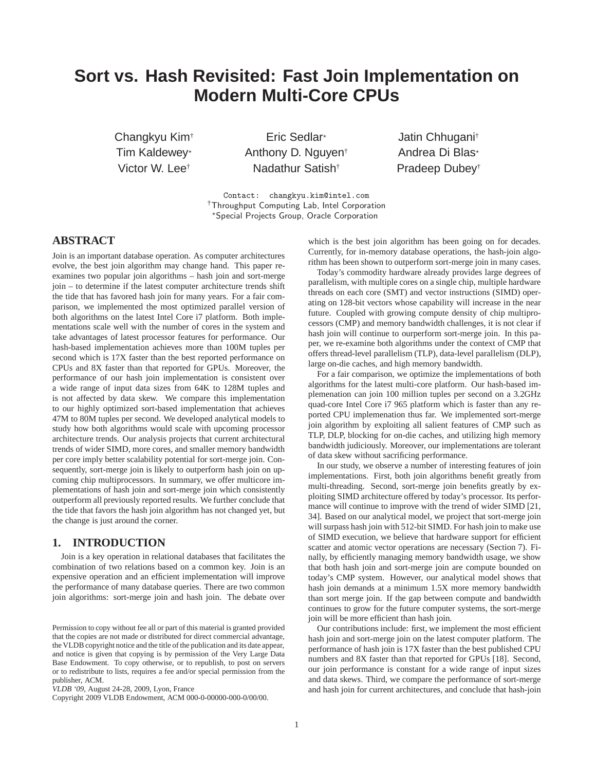# **Sort vs. Hash Revisited: Fast Join Implementation on Modern Multi-Core CPUs**

Changkyu Kim<sup>†</sup> Eric Sedlar<sup>★</sup> Jatin Chhugani<sup>†</sup> Tim Kaldewey∗ Anthony D. Nguyen† Andrea Di Blas∗ Victor W. Lee<sup>†</sup> Nadathur Satish<sup>†</sup> Pradeep Dubey<sup>†</sup>

Contact: changkyu.kim@intel.com †Throughput Computing Lab, Intel Corporation <sup>⋆</sup>Special Projects Group, Oracle Corporation

# **ABSTRACT**

Join is an important database operation. As computer architectures evolve, the best join algorithm may change hand. This paper reexamines two popular join algorithms – hash join and sort-merge join – to determine if the latest computer architecture trends shift the tide that has favored hash join for many years. For a fair comparison, we implemented the most optimized parallel version of both algorithms on the latest Intel Core i7 platform. Both implementations scale well with the number of cores in the system and take advantages of latest processor features for performance. Our hash-based implementation achieves more than 100M tuples per second which is 17X faster than the best reported performance on CPUs and 8X faster than that reported for GPUs. Moreover, the performance of our hash join implementation is consistent over a wide range of input data sizes from 64K to 128M tuples and is not affected by data skew. We compare this implementation to our highly optimized sort-based implementation that achieves 47M to 80M tuples per second. We developed analytical models to study how both algorithms would scale with upcoming processor architecture trends. Our analysis projects that current architectural trends of wider SIMD, more cores, and smaller memory bandwidth per core imply better scalability potential for sort-merge join. Consequently, sort-merge join is likely to outperform hash join on upcoming chip multiprocessors. In summary, we offer multicore implementations of hash join and sort-merge join which consistently outperform all previously reported results. We further conclude that the tide that favors the hash join algorithm has not changed yet, but the change is just around the corner.

# **1. INTRODUCTION**

Join is a key operation in relational databases that facilitates the combination of two relations based on a common key. Join is an expensive operation and an efficient implementation will improve the performance of many database queries. There are two common join algorithms: sort-merge join and hash join. The debate over

which is the best join algorithm has been going on for decades. Currently, for in-memory database operations, the hash-join algorithm has been shown to outperform sort-merge join in many cases.

Today's commodity hardware already provides large degrees of parallelism, with multiple cores on a single chip, multiple hardware threads on each core (SMT) and vector instructions (SIMD) operating on 128-bit vectors whose capability will increase in the near future. Coupled with growing compute density of chip multiprocessors (CMP) and memory bandwidth challenges, it is not clear if hash join will continue to ourperform sort-merge join. In this paper, we re-examine both algorithms under the context of CMP that offers thread-level parallelism (TLP), data-level parallelism (DLP), large on-die caches, and high memory bandwidth.

For a fair comparison, we optimize the implementations of both algorithms for the latest multi-core platform. Our hash-based implemenation can join 100 million tuples per second on a 3.2GHz quad-core Intel Core i7 965 platform which is faster than any reported CPU implemenation thus far. We implemented sort-merge join algorithm by exploiting all salient features of CMP such as TLP, DLP, blocking for on-die caches, and utilizing high memory bandwidth judiciously. Moreover, our implementations are tolerant of data skew without sacrificing performance.

In our study, we observe a number of interesting features of join implementations. First, both join algorithms benefit greatly from multi-threading. Second, sort-merge join benefits greatly by exploiting SIMD architecture offered by today's processor. Its performance will continue to improve with the trend of wider SIMD [21, 34]. Based on our analytical model, we project that sort-merge join will surpass hash join with 512-bit SIMD. For hash join to make use of SIMD execution, we believe that hardware support for efficient scatter and atomic vector operations are necessary (Section 7). Finally, by efficiently managing memory bandwidth usage, we show that both hash join and sort-merge join are compute bounded on today's CMP system. However, our analytical model shows that hash join demands at a minimum 1.5X more memory bandwidth than sort merge join. If the gap between compute and bandwidth continues to grow for the future computer systems, the sort-merge join will be more efficient than hash join.

Our contributions include: first, we implement the most efficient hash join and sort-merge join on the latest computer platform. The performance of hash join is 17X faster than the best published CPU numbers and 8X faster than that reported for GPUs [18]. Second, our join performance is constant for a wide range of input sizes and data skews. Third, we compare the performance of sort-merge and hash join for current architectures, and conclude that hash-join

Permission to copy without fee all or part of this material is granted provided that the copies are not made or distributed for direct commercial advantage, the VLDB copyright notice and the title of the publication and its date appear, and notice is given that copying is by permission of the Very Large Data Base Endowment. To copy otherwise, or to republish, to post on servers or to redistribute to lists, requires a fee and/or special permission from the publisher, ACM.

*VLDB '09,* August 24-28, 2009, Lyon, France

Copyright 2009 VLDB Endowment, ACM 000-0-00000-000-0/00/00.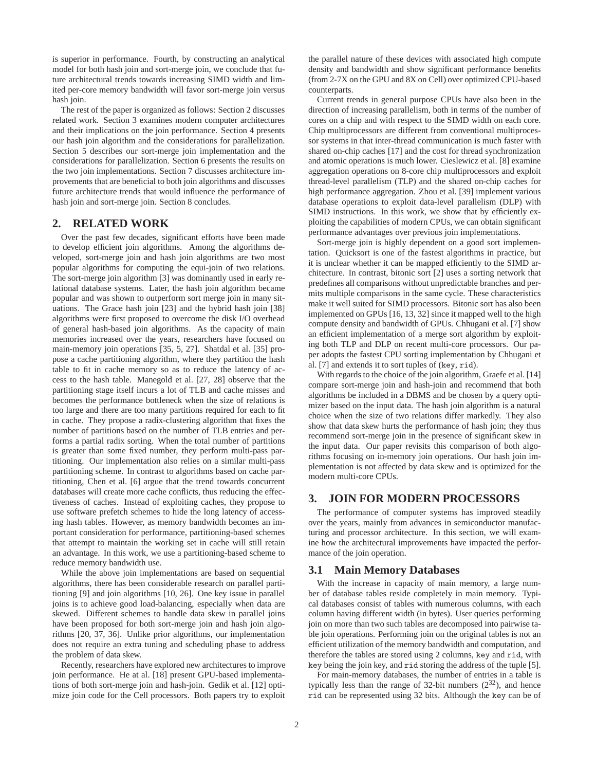is superior in performance. Fourth, by constructing an analytical model for both hash join and sort-merge join, we conclude that future architectural trends towards increasing SIMD width and limited per-core memory bandwidth will favor sort-merge join versus hash join.

The rest of the paper is organized as follows: Section 2 discusses related work. Section 3 examines modern computer architectures and their implications on the join performance. Section 4 presents our hash join algorithm and the considerations for parallelization. Section 5 describes our sort-merge join implementation and the considerations for parallelization. Section 6 presents the results on the two join implementations. Section 7 discusses architecture improvements that are beneficial to both join algorithms and discusses future architecture trends that would influence the performance of hash join and sort-merge join. Section 8 concludes.

# **2. RELATED WORK**

Over the past few decades, significant efforts have been made to develop efficient join algorithms. Among the algorithms developed, sort-merge join and hash join algorithms are two most popular algorithms for computing the equi-join of two relations. The sort-merge join algorithm [3] was dominantly used in early relational database systems. Later, the hash join algorithm became popular and was shown to outperform sort merge join in many situations. The Grace hash join [23] and the hybrid hash join [38] algorithms were first proposed to overcome the disk I/O overhead of general hash-based join algorithms. As the capacity of main memories increased over the years, researchers have focused on main-memory join operations [35, 5, 27]. Shatdal et al. [35] propose a cache partitioning algorithm, where they partition the hash table to fit in cache memory so as to reduce the latency of access to the hash table. Manegold et al. [27, 28] observe that the partitioning stage itself incurs a lot of TLB and cache misses and becomes the performance bottleneck when the size of relations is too large and there are too many partitions required for each to fit in cache. They propose a radix-clustering algorithm that fixes the number of partitions based on the number of TLB entries and performs a partial radix sorting. When the total number of partitions is greater than some fixed number, they perform multi-pass partitioning. Our implementation also relies on a similar multi-pass partitioning scheme. In contrast to algorithms based on cache partitioning, Chen et al. [6] argue that the trend towards concurrent databases will create more cache conflicts, thus reducing the effectiveness of caches. Instead of exploiting caches, they propose to use software prefetch schemes to hide the long latency of accessing hash tables. However, as memory bandwidth becomes an important consideration for performance, partitioning-based schemes that attempt to maintain the working set in cache will still retain an advantage. In this work, we use a partitioning-based scheme to reduce memory bandwidth use.

While the above join implementations are based on sequential algorithms, there has been considerable research on parallel partitioning [9] and join algorithms [10, 26]. One key issue in parallel joins is to achieve good load-balancing, especially when data are skewed. Different schemes to handle data skew in parallel joins have been proposed for both sort-merge join and hash join algorithms [20, 37, 36]. Unlike prior algorithms, our implementation does not require an extra tuning and scheduling phase to address the problem of data skew.

Recently, researchers have explored new architectures to improve join performance. He at al. [18] present GPU-based implementations of both sort-merge join and hash-join. Gedik et al. [12] optimize join code for the Cell processors. Both papers try to exploit the parallel nature of these devices with associated high compute density and bandwidth and show significant performance benefits (from 2-7X on the GPU and 8X on Cell) over optimized CPU-based counterparts.

Current trends in general purpose CPUs have also been in the direction of increasing parallelism, both in terms of the number of cores on a chip and with respect to the SIMD width on each core. Chip multiprocessors are different from conventional multiprocessor systems in that inter-thread communication is much faster with shared on-chip caches [17] and the cost for thread synchronization and atomic operations is much lower. Cieslewicz et al. [8] examine aggregation operations on 8-core chip multiprocessors and exploit thread-level parallelism (TLP) and the shared on-chip caches for high performance aggregation. Zhou et al. [39] implement various database operations to exploit data-level parallelism (DLP) with SIMD instructions. In this work, we show that by efficiently exploiting the capabilities of modern CPUs, we can obtain significant performance advantages over previous join implementations.

Sort-merge join is highly dependent on a good sort implementation. Quicksort is one of the fastest algorithms in practice, but it is unclear whether it can be mapped efficiently to the SIMD architecture. In contrast, bitonic sort [2] uses a sorting network that predefines all comparisons without unpredictable branches and permits multiple comparisons in the same cycle. These characteristics make it well suited for SIMD processors. Bitonic sort has also been implemented on GPUs [16, 13, 32] since it mapped well to the high compute density and bandwidth of GPUs. Chhugani et al. [7] show an efficient implementation of a merge sort algorithm by exploiting both TLP and DLP on recent multi-core processors. Our paper adopts the fastest CPU sorting implementation by Chhugani et al. [7] and extends it to sort tuples of (key, rid).

With regards to the choice of the join algorithm, Graefe et al. [14] compare sort-merge join and hash-join and recommend that both algorithms be included in a DBMS and be chosen by a query optimizer based on the input data. The hash join algorithm is a natural choice when the size of two relations differ markedly. They also show that data skew hurts the performance of hash join; they thus recommend sort-merge join in the presence of significant skew in the input data. Our paper revisits this comparison of both algorithms focusing on in-memory join operations. Our hash join implementation is not affected by data skew and is optimized for the modern multi-core CPUs.

# **3. JOIN FOR MODERN PROCESSORS**

The performance of computer systems has improved steadily over the years, mainly from advances in semiconductor manufacturing and processor architecture. In this section, we will examine how the architectural improvements have impacted the performance of the join operation.

#### **3.1 Main Memory Databases**

With the increase in capacity of main memory, a large number of database tables reside completely in main memory. Typical databases consist of tables with numerous columns, with each column having different width (in bytes). User queries performing join on more than two such tables are decomposed into pairwise table join operations. Performing join on the original tables is not an efficient utilization of the memory bandwidth and computation, and therefore the tables are stored using 2 columns, key and rid, with key being the join key, and rid storing the address of the tuple [5].

For main-memory databases, the number of entries in a table is typically less than the range of 32-bit numbers  $(2^{32})$ , and hence rid can be represented using 32 bits. Although the key can be of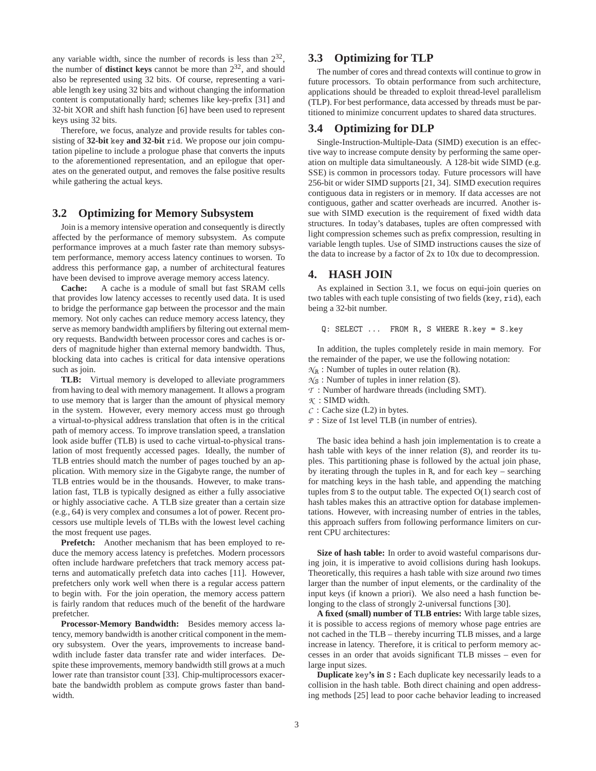any variable width, since the number of records is less than  $2^{32}$ , the number of **distinct keys** cannot be more than  $2^{32}$ , and should also be represented using 32 bits. Of course, representing a variable length key using 32 bits and without changing the information content is computationally hard; schemes like key-prefix [31] and 32-bit XOR and shift hash function [6] have been used to represent keys using 32 bits.

Therefore, we focus, analyze and provide results for tables consisting of **32-bit** key **and 32-bit** rid. We propose our join computation pipeline to include a prologue phase that converts the inputs to the aforementioned representation, and an epilogue that operates on the generated output, and removes the false positive results while gathering the actual keys.

# **3.2 Optimizing for Memory Subsystem**

Join is a memory intensive operation and consequently is directly affected by the performance of memory subsystem. As compute performance improves at a much faster rate than memory subsystem performance, memory access latency continues to worsen. To address this performance gap, a number of architectural features have been devised to improve average memory access latency.

**Cache:** A cache is a module of small but fast SRAM cells that provides low latency accesses to recently used data. It is used to bridge the performance gap between the processor and the main memory. Not only caches can reduce memory access latency, they serve as memory bandwidth amplifiers by filtering out external memory requests. Bandwidth between processor cores and caches is orders of magnitude higher than external memory bandwidth. Thus, blocking data into caches is critical for data intensive operations such as join.

**TLB:** Virtual memory is developed to alleviate programmers from having to deal with memory management. It allows a program to use memory that is larger than the amount of physical memory in the system. However, every memory access must go through a virtual-to-physical address translation that often is in the critical path of memory access. To improve translation speed, a translation look aside buffer (TLB) is used to cache virtual-to-physical translation of most frequently accessed pages. Ideally, the number of TLB entries should match the number of pages touched by an application. With memory size in the Gigabyte range, the number of TLB entries would be in the thousands. However, to make translation fast, TLB is typically designed as either a fully associative or highly associative cache. A TLB size greater than a certain size (e.g., 64) is very complex and consumes a lot of power. Recent processors use multiple levels of TLBs with the lowest level caching the most frequent use pages.

**Prefetch:** Another mechanism that has been employed to reduce the memory access latency is prefetches. Modern processors often include hardware prefetchers that track memory access patterns and automatically prefetch data into caches [11]. However, prefetchers only work well when there is a regular access pattern to begin with. For the join operation, the memory access pattern is fairly random that reduces much of the benefit of the hardware prefetcher.

**Processor-Memory Bandwidth:** Besides memory access latency, memory bandwidth is another critical component in the memory subsystem. Over the years, improvements to increase bandwdith include faster data transfer rate and wider interfaces. Despite these improvements, memory bandwidth still grows at a much lower rate than transistor count [33]. Chip-multiprocessors exacerbate the bandwidth problem as compute grows faster than bandwidth.

# **3.3 Optimizing for TLP**

The number of cores and thread contexts will continue to grow in future processors. To obtain performance from such architecture, applications should be threaded to exploit thread-level parallelism (TLP). For best performance, data accessed by threads must be partitioned to minimize concurrent updates to shared data structures.

# **3.4 Optimizing for DLP**

Single-Instruction-Multiple-Data (SIMD) execution is an effective way to increase compute density by performing the same operation on multiple data simultaneously. A 128-bit wide SIMD (e.g. SSE) is common in processors today. Future processors will have 256-bit or wider SIMD supports [21, 34]. SIMD execution requires contiguous data in registers or in memory. If data accesses are not contiguous, gather and scatter overheads are incurred. Another issue with SIMD execution is the requirement of fixed width data structures. In today's databases, tuples are often compressed with light compression schemes such as prefix compression, resulting in variable length tuples. Use of SIMD instructions causes the size of the data to increase by a factor of 2x to 10x due to decompression.

# **4. HASH JOIN**

As explained in Section 3.1, we focus on equi-join queries on two tables with each tuple consisting of two fields (key, rid), each being a 32-bit number.

#### Q: SELECT ... FROM R, S WHERE R.key = S.key

In addition, the tuples completely reside in main memory. For the remainder of the paper, we use the following notation:

- $\mathcal{N}_R$ : Number of tuples in outer relation (R).
- $\mathcal{N}_\text{S}$ : Number of tuples in inner relation (S).
- *T* : Number of hardware threads (including SMT).
- *K* : SIMD width.
- *C* : Cache size (L2) in bytes.
- *P* : Size of 1st level TLB (in number of entries).

The basic idea behind a hash join implementation is to create a hash table with keys of the inner relation (S), and reorder its tuples. This partitioning phase is followed by the actual join phase, by iterating through the tuples in R, and for each key – searching for matching keys in the hash table, and appending the matching tuples from S to the output table. The expected O(1) search cost of hash tables makes this an attractive option for database implementations. However, with increasing number of entries in the tables, this approach suffers from following performance limiters on current CPU architectures:

**Size of hash table:** In order to avoid wasteful comparisons during join, it is imperative to avoid collisions during hash lookups. Theoretically, this requires a hash table with size around *two* times larger than the number of input elements, or the cardinality of the input keys (if known a priori). We also need a hash function belonging to the class of strongly 2-universal functions [30].

**A fixed (small) number of TLB entries:** With large table sizes, it is possible to access regions of memory whose page entries are not cached in the TLB – thereby incurring TLB misses, and a large increase in latency. Therefore, it is critical to perform memory accesses in an order that avoids significant TLB misses – even for large input sizes.

**Duplicate** key**'s in** S **:** Each duplicate key necessarily leads to a collision in the hash table. Both direct chaining and open addressing methods [25] lead to poor cache behavior leading to increased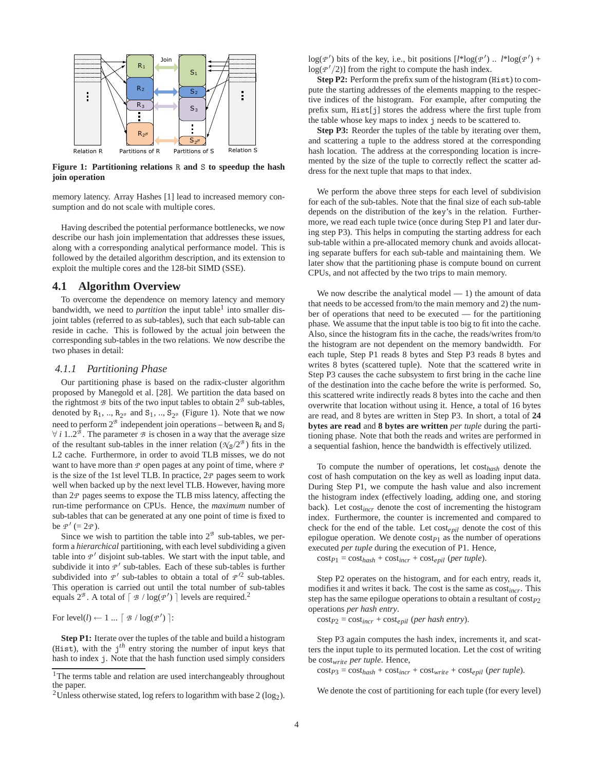

**Figure 1: Partitioning relations** R **and** S **to speedup the hash join operation**

memory latency. Array Hashes [1] lead to increased memory consumption and do not scale with multiple cores.

Having described the potential performance bottlenecks, we now describe our hash join implementation that addresses these issues, along with a corresponding analytical performance model. This is followed by the detailed algorithm description, and its extension to exploit the multiple cores and the 128-bit SIMD (SSE).

## **4.1 Algorithm Overview**

To overcome the dependence on memory latency and memory bandwidth, we need to *partition* the input table<sup>1</sup> into smaller disjoint tables (referred to as sub-tables), such that each sub-table can reside in cache. This is followed by the actual join between the corresponding sub-tables in the two relations. We now describe the two phases in detail:

#### *4.1.1 Partitioning Phase*

Our partitioning phase is based on the radix-cluster algorithm proposed by Manegold et al. [28]. We partition the data based on the rightmost  $\mathcal B$  bits of the two input tables to obtain  $2^{\mathcal B}$  sub-tables, denoted by  $R_1, ..., R_{2^B}$  and  $S_1, ..., S_{2^B}$  (Figure 1). Note that we now need to perform  $2^{\frac{1}{2}}$  independent join operations – between  $R_i$  and  $S_i$  $\forall i$  1..2<sup> $\vec{B}$ </sup>. The parameter  $\vec{B}$  is chosen in a way that the average size of the resultant sub-tables in the inner relation  $(\mathcal{N}_S/2^B)$  fits in the L2 cache. Furthermore, in order to avoid TLB misses, we do not want to have more than *P* open pages at any point of time, where *P* is the size of the 1st level TLB. In practice, 2*P* pages seem to work well when backed up by the next level TLB. However, having more than 2*P* pages seems to expose the TLB miss latency, affecting the run-time performance on CPUs. Hence, the *maximum* number of sub-tables that can be generated at any one point of time is fixed to be  $P' (= 2P)$ .

Since we wish to partition the table into  $2^{\mathcal{B}}$  sub-tables, we perform a *hierarchical* partitioning, with each level subdividing a given table into  $P'$  disjoint sub-tables. We start with the input table, and subdivide it into  $p'$  sub-tables. Each of these sub-tables is further subdivided into  $p'$  sub-tables to obtain a total of  $p'^2$  sub-tables. This operation is carried out until the total number of sub-tables equals  $2^{\mathcal{B}}$ . A total of  $\lceil \mathcal{B} / \log(\mathcal{P}') \rceil$  levels are required.<sup>2</sup>

For level( $l$ )  $\leftarrow$  1 ...  $\lceil \mathcal{B} / \log(\mathcal{P}') \rceil$ :

**Step P1:** Iterate over the tuples of the table and build a histogram (Hist), with the j *th* entry storing the number of input keys that hash to index j. Note that the hash function used simply considers

 $\log(P')$  bits of the key, i.e., bit positions  $[l^*log(P') \dots l^*log(P')$  +  $log(P'/2)$  from the right to compute the hash index.

**Step P2:** Perform the prefix sum of the histogram (Hist) to compute the starting addresses of the elements mapping to the respective indices of the histogram. For example, after computing the prefix sum, Hist[j] stores the address where the first tuple from the table whose key maps to index j needs to be scattered to.

**Step P3:** Reorder the tuples of the table by iterating over them, and scattering a tuple to the address stored at the corresponding hash location. The address at the corresponding location is incremented by the size of the tuple to correctly reflect the scatter address for the next tuple that maps to that index.

We perform the above three steps for each level of subdivision for each of the sub-tables. Note that the final size of each sub-table depends on the distribution of the key's in the relation. Furthermore, we read each tuple twice (once during Step P1 and later during step P3). This helps in computing the starting address for each sub-table within a pre-allocated memory chunk and avoids allocating separate buffers for each sub-table and maintaining them. We later show that the partitioning phase is compute bound on current CPUs, and not affected by the two trips to main memory.

We now describe the analytical model  $-1$ ) the amount of data that needs to be accessed from/to the main memory and 2) the number of operations that need to be executed — for the partitioning phase. We assume that the input table is too big to fit into the cache. Also, since the histogram fits in the cache, the reads/writes from/to the histogram are not dependent on the memory bandwidth. For each tuple, Step P1 reads 8 bytes and Step P3 reads 8 bytes and writes 8 bytes (scattered tuple). Note that the scattered write in Step P3 causes the cache subsystem to first bring in the cache line of the destination into the cache before the write is performed. So, this scattered write indirectly reads 8 bytes into the cache and then overwrite that location without using it. Hence, a total of 16 bytes are read, and 8 bytes are written in Step P3. In short, a total of **24 bytes are read** and **8 bytes are written** *per tuple* during the partitioning phase. Note that both the reads and writes are performed in a sequential fashion, hence the bandwidth is effectively utilized.

To compute the number of operations, let cost*hash* denote the cost of hash computation on the key as well as loading input data. During Step P1, we compute the hash value and also increment the histogram index (effectively loading, adding one, and storing back). Let cost*incr* denote the cost of incrementing the histogram index. Furthermore, the counter is incremented and compared to check for the end of the table. Let cost*epil* denote the cost of this epilogue operation. We denote cost*P*<sup>1</sup> as the number of operations executed *per tuple* during the execution of P1. Hence,

 $\text{cost}_{P1} = \text{cost}_{hash} + \text{cost}_{incr} + \text{cost}_{epil}$  (*per tuple*).

Step P2 operates on the histogram, and for each entry, reads it, modifies it and writes it back. The cost is the same as cost*incr*. This step has the same epilogue operations to obtain a resultant of  $\cos t_{P2}$ operations *per hash entry*.

 $\text{cost}_{P2} = \text{cost}_{\text{incr}} + \text{cost}_{\text{enil}}$  (*per hash entry*).

Step P3 again computes the hash index, increments it, and scatters the input tuple to its permuted location. Let the cost of writing be cost*write per tuple*. Hence,

 $\cos\left(p_3\right) = \cos\left(t_{hash} + \cos\left(t_{incr} + \cos\left(\frac{t_{en}}{t}\right)\right)\right)$  (*per tuple*).

We denote the cost of partitioning for each tuple (for every level)

<sup>&</sup>lt;sup>1</sup>The terms table and relation are used interchangeably throughout the paper.

<sup>&</sup>lt;sup>2</sup>Unless otherwise stated, log refers to logarithm with base 2 (log<sub>2</sub>).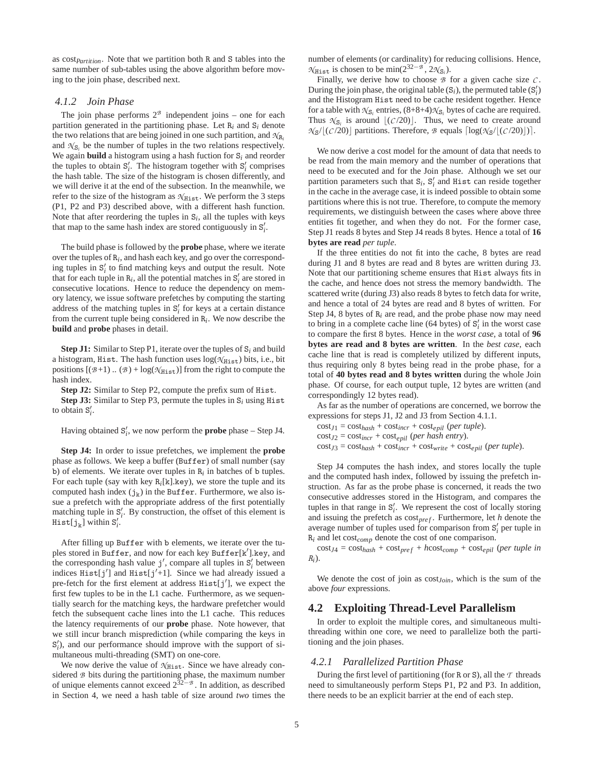as cost*Partition*. Note that we partition both R and S tables into the same number of sub-tables using the above algorithm before moving to the join phase, described next.

#### *4.1.2 Join Phase*

The join phase performs  $2^{\mathcal{B}}$  independent joins – one for each partition generated in the partitioning phase. Let  $R_i$  and  $S_i$  denote the two relations that are being joined in one such partition, and  $\mathcal{N}_{R_i}$ and  $\mathcal{N}_{S_i}$  be the number of tuples in the two relations respectively. We again **build** a histogram using a hash fuction for  $S_i$  and reorder the tuples to obtain  $S_i'$ . The histogram together with  $S_i'$  comprises the hash table. The size of the histogram is chosen differently, and we will derive it at the end of the subsection. In the meanwhile, we refer to the size of the histogram as  $N_{\text{Hist}}$ . We perform the 3 steps (P1, P2 and P3) described above, with a different hash function. Note that after reordering the tuples in  $S_i$ , all the tuples with keys that map to the same hash index are stored contiguously in  $S_i'$ .

The build phase is followed by the **probe** phase, where we iterate over the tuples of R*<sup>i</sup>* , and hash each key, and go over the corresponding tuples in  $S_i'$  to find matching keys and output the result. Note that for each tuple in  $R_i$ , all the potential matches in  $S'_i$  are stored in consecutive locations. Hence to reduce the dependency on memory latency, we issue software prefetches by computing the starting address of the matching tuples in  $S_i'$  for keys at a certain distance from the current tuple being considered in R*<sup>i</sup>* . We now describe the **build** and **probe** phases in detail.

**Step J1:** Similar to Step P1, iterate over the tuples of S*<sup>i</sup>* and build a histogram, Hist. The hash function uses  $log(\mathcal{N}_{\text{Hist}})$  bits, i.e., bit positions  $[(\mathcal{B}+1)$ ..  $(\mathcal{B}) + \log(\mathcal{N}_{\text{Hist}})]$  from the right to compute the hash index.

**Step J2:** Similar to Step P2, compute the prefix sum of Hist.

**Step J3:** Similar to Step P3, permute the tuples in  $S_i$  using Hist to obtain  $S_i'$ .

Having obtained  $S_i'$ , we now perform the **probe** phase  $-$  Step J4.

**Step J4:** In order to issue prefetches, we implement the **probe** phase as follows. We keep a buffer (Buffer) of small number (say b) of elements. We iterate over tuples in  $R_i$  in batches of b tuples. For each tuple (say with key  $R_i[k]$ .key), we store the tuple and its computed hash index  $(j_k)$  in the Buffer. Furthermore, we also issue a prefetch with the appropriate address of the first potentially matching tuple in  $S_i'$ . By construction, the offset of this element is  $\texttt{Hist}[j_{k}]$  within  $S'_{i}$ .

After filling up Buffer with b elements, we iterate over the tuples stored in Buffer, and now for each key Buffer[k'].key, and the corresponding hash value  $j'$ , compare all tuples in  $S'_i$  between indices  $Hist[j']$  and  $Hist[j'+1]$ . Since we had already issued a pre-fetch for the first element at address Hist[j'], we expect the first few tuples to be in the L1 cache. Furthermore, as we sequentially search for the matching keys, the hardware prefetcher would fetch the subsequent cache lines into the L1 cache. This reduces the latency requirements of our **probe** phase. Note however, that we still incur branch misprediction (while comparing the keys in S<sup>'</sup><sub>i</sub>), and our performance should improve with the support of simultaneous multi-threading (SMT) on one-core.

We now derive the value of  $N_{\text{Hist}}$ . Since we have already considered *B* bits during the partitioning phase, the maximum number of unique elements cannot exceed  $2^{32-\beta}$ . In addition, as described in Section 4, we need a hash table of size around *two* times the number of elements (or cardinality) for reducing collisions. Hence,  $\mathcal{N}_{\text{Hist}}$  is chosen to be min(2<sup>32−*B*</sup>, 2 $\mathcal{N}_{\text{S}_i}$ ).

Finally, we derive how to choose  $\mathcal{B}$  for a given cache size  $\mathcal{C}$ . During the join phase, the original table  $(S_i)$ , the permuted table  $(S'_i)$ and the Histogram Hist need to be cache resident together. Hence for a table with  $\mathcal{N}_{S_i}$  entries,  $(8+8+4)\mathcal{N}_{S_i}$  bytes of cache are required. Thus  $\mathcal{N}_{S_i}$  is around  $\lfloor (C/20) \rfloor$ . Thus, we need to create around  $\mathcal{N}_S/|(C/20)|$  partitions. Therefore, *B* equals  $\lceil log(\mathcal{N}_S/|(C/20)|) \rceil$ .

We now derive a cost model for the amount of data that needs to be read from the main memory and the number of operations that need to be executed and for the Join phase. Although we set our partition parameters such that  $S_i$ ,  $S'_i$  and Hist can reside together in the cache in the average case, it is indeed possible to obtain some partitions where this is not true. Therefore, to compute the memory requirements, we distinguish between the cases where above three entities fit together, and when they do not. For the former case, Step J1 reads 8 bytes and Step J4 reads 8 bytes. Hence a total of **16 bytes are read** *per tuple*.

If the three entities do not fit into the cache, 8 bytes are read during J1 and 8 bytes are read and 8 bytes are written during J3. Note that our partitioning scheme ensures that Hist always fits in the cache, and hence does not stress the memory bandwidth. The scattered write (during J3) also reads 8 bytes to fetch data for write, and hence a total of 24 bytes are read and 8 bytes of written. For Step J4, 8 bytes of R*<sup>i</sup>* are read, and the probe phase now may need to bring in a complete cache line (64 bytes) of  $S_i$ <sup>'</sup> in the worst case to compare the first 8 bytes. Hence in the *worst case*, a total of **96 bytes are read and 8 bytes are written**. In the *best case*, each cache line that is read is completely utilized by different inputs, thus requiring only 8 bytes being read in the probe phase, for a total of **40 bytes read and 8 bytes written** during the whole Join phase. Of course, for each output tuple, 12 bytes are written (and correspondingly 12 bytes read).

As far as the number of operations are concerned, we borrow the expressions for steps J1, J2 and J3 from Section 4.1.1.

 $cost_{J1} = cost_{hash} + cost_{incr} + cost_{epil}$  (*per tuple*).  $cost_{J2} = cost_{incr} + cost_{enil}$  (*per hash entry*).

 $cost_{J3} = cost_{hash} + cost_{incr} + cost_{write} + cost_{enil}$  (*per tuple*).

Step J4 computes the hash index, and stores locally the tuple and the computed hash index, followed by issuing the prefetch instruction. As far as the probe phase is concerned, it reads the two consecutive addresses stored in the Histogram, and compares the tuples in that range in  $S_i'$ . We represent the cost of locally storing and issuing the prefetch as  $cost_{pref}$ . Furthermore, let *h* denote the average number of tuples used for comparison from S ′ *i* per tuple in R*<sup>i</sup>* and let cost*comp* denote the cost of one comparison.

 $cost_{J4} = cost_{hash} + cost_{pref} + hcost_{comp} + cost_{epil}$  (*per tuple in* R*i*).

We denote the cost of join as cost*Join*, which is the sum of the above *four* expressions.

## **4.2 Exploiting Thread-Level Parallelism**

In order to exploit the multiple cores, and simultaneous multithreading within one core, we need to parallelize both the partitioning and the join phases.

#### *4.2.1 Parallelized Partition Phase*

During the first level of partitioning (for R or S), all the  $\tau$  threads need to simultaneously perform Steps P1, P2 and P3. In addition, there needs to be an explicit barrier at the end of each step.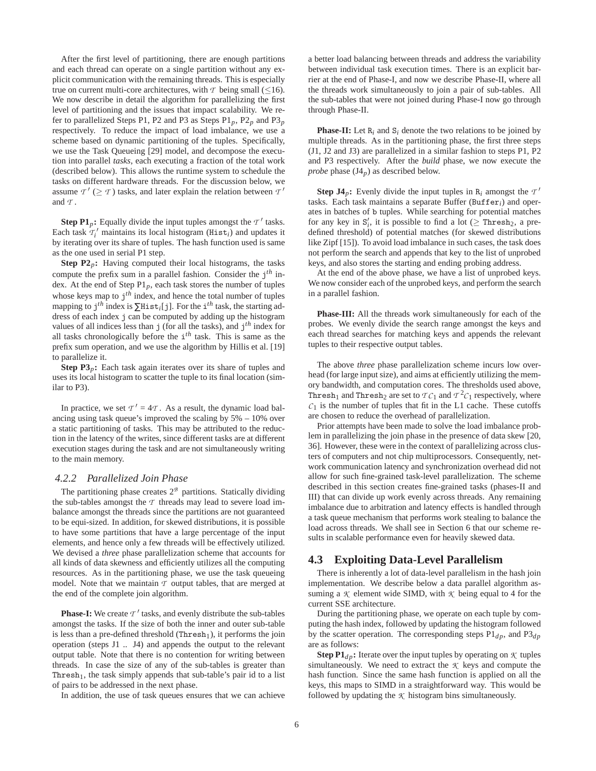After the first level of partitioning, there are enough partitions and each thread can operate on a single partition without any explicit communication with the remaining threads. This is especially true on current multi-core architectures, with  $\tau$  being small (<16). We now describe in detail the algorithm for parallelizing the first level of partitioning and the issues that impact scalability. We refer to parallelized Steps P1, P2 and P3 as Steps  $P1_p$ ,  $P2_p$  and  $P3_p$ respectively. To reduce the impact of load imbalance, we use a scheme based on dynamic partitioning of the tuples. Specifically, we use the Task Queueing [29] model, and decompose the execution into parallel *tasks*, each executing a fraction of the total work (described below). This allows the runtime system to schedule the tasks on different hardware threads. For the discussion below, we assume  $\tau' \geq \tau$ ) tasks, and later explain the relation between  $\tau'$ and  $\tau$ .

**Step P1**<sub>*p*</sub>**:** Equally divide the input tuples amongst the  $T'$  tasks. Each task  $T_i'$  maintains its local histogram (Hist<sub>i</sub>) and updates it by iterating over its share of tuples. The hash function used is same as the one used in serial P1 step.

**Step P2** $_p$ **:** Having computed their local histograms, the tasks compute the prefix sum in a parallel fashion. Consider the j *th* index. At the end of Step P1*p*, each task stores the number of tuples whose keys map to  $j<sup>th</sup>$  index, and hence the total number of tuples mapping to j *th* index is ∑Hist*i*[j]. For the i *th* task, the starting address of each index j can be computed by adding up the histogram values of all indices less than j (for all the tasks), and j *th* index for all tasks chronologically before the  $i^{th}$  task. This is same as the prefix sum operation, and we use the algorithm by Hillis et al. [19] to parallelize it.

**Step**  $P3_n$ **: Each task again iterates over its share of tuples and** uses its local histogram to scatter the tuple to its final location (similar to P3).

In practice, we set  $T' = 4T$ . As a result, the dynamic load balancing using task queue's improved the scaling by 5% – 10% over a static partitioning of tasks. This may be attributed to the reduction in the latency of the writes, since different tasks are at different execution stages during the task and are not simultaneously writing to the main memory.

#### *4.2.2 Parallelized Join Phase*

The partitioning phase creates  $2^{\mathcal{B}}$  partitions. Statically dividing the sub-tables amongst the  $\tau$  threads may lead to severe load imbalance amongst the threads since the partitions are not guaranteed to be equi-sized. In addition, for skewed distributions, it is possible to have some partitions that have a large percentage of the input elements, and hence only a few threads will be effectively utilized. We devised a *three* phase parallelization scheme that accounts for all kinds of data skewness and efficiently utilizes all the computing resources. As in the partitioning phase, we use the task queueing model. Note that we maintain  $\tau$  output tables, that are merged at the end of the complete join algorithm.

**Phase-I:** We create  $T'$  tasks, and evenly distribute the sub-tables amongst the tasks. If the size of both the inner and outer sub-table is less than a pre-defined threshold  $(Thresh<sub>1</sub>)$ , it performs the join operation (steps J1 .. J4) and appends the output to the relevant output table. Note that there is no contention for writing between threads. In case the size of any of the sub-tables is greater than Thresh<sub>1</sub>, the task simply appends that sub-table's pair id to a list of pairs to be addressed in the next phase.

In addition, the use of task queues ensures that we can achieve

a better load balancing between threads and address the variability between individual task execution times. There is an explicit barrier at the end of Phase-I, and now we describe Phase-II, where all the threads work simultaneously to join a pair of sub-tables. All the sub-tables that were not joined during Phase-I now go through through Phase-II.

**Phase-II:** Let  $R_i$  and  $S_i$  denote the two relations to be joined by multiple threads. As in the partitioning phase, the first three steps (J1, J2 and J3) are parallelized in a similar fashion to steps P1, P2 and P3 respectively. After the *build* phase, we now execute the *probe* phase (J4*p*) as described below.

**Step J4**<sub>*p*</sub>**:** Evenly divide the input tuples in  $R_i$  amongst the  $T'$ tasks. Each task maintains a separate Buffer (Buffer*i*) and operates in batches of b tuples. While searching for potential matches for any key in  $S'_i$ , it is possible to find a lot ( $\geq$  Thresh<sub>2</sub>, a predefined threshold) of potential matches (for skewed distributions like Zipf [15]). To avoid load imbalance in such cases, the task does not perform the search and appends that key to the list of unprobed keys, and also stores the starting and ending probing address.

At the end of the above phase, we have a list of unprobed keys. We now consider each of the unprobed keys, and perform the search in a parallel fashion.

**Phase-III:** All the threads work simultaneously for each of the probes. We evenly divide the search range amongst the keys and each thread searches for matching keys and appends the relevant tuples to their respective output tables.

The above *three* phase parallelization scheme incurs low overhead (for large input size), and aims at efficiently utilizing the memory bandwidth, and computation cores. The thresholds used above, Thresh<sub>1</sub> and Thresh<sub>2</sub> are set to  $TC_1$  and  $T^2C_1$  respectively, where  $C_1$  is the number of tuples that fit in the L1 cache. These cutoffs are chosen to reduce the overhead of parallelization.

Prior attempts have been made to solve the load imbalance problem in parallelizing the join phase in the presence of data skew [20, 36]. However, these were in the context of parallelizing across clusters of computers and not chip multiprocessors. Consequently, network communication latency and synchronization overhead did not allow for such fine-grained task-level parallelization. The scheme described in this section creates fine-grained tasks (phases-II and III) that can divide up work evenly across threads. Any remaining imbalance due to arbitration and latency effects is handled through a task queue mechanism that performs work stealing to balance the load across threads. We shall see in Section 6 that our scheme results in scalable performance even for heavily skewed data.

## **4.3 Exploiting Data-Level Parallelism**

There is inherently a lot of data-level parallelism in the hash join implementation. We describe below a data parallel algorithm assuming a *K* element wide SIMD, with *K* being equal to 4 for the current SSE architecture.

During the partitioning phase, we operate on each tuple by computing the hash index, followed by updating the histogram followed by the scatter operation. The corresponding steps  $P1_{dp}$ , and  $P3_{dp}$ are as follows:

**Step P1** $_{d,p}$ : Iterate over the input tuples by operating on  $\chi$  tuples simultaneously. We need to extract the  $K$  keys and compute the hash function. Since the same hash function is applied on all the keys, this maps to SIMD in a straightforward way. This would be followed by updating the  $K$  histogram bins simultaneously.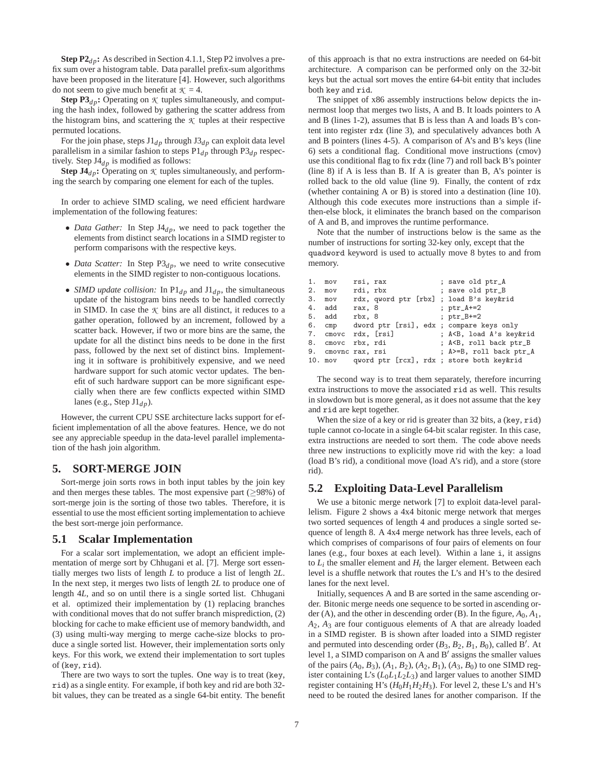**Step P2***dp***:** As described in Section 4.1.1, Step P2 involves a prefix sum over a histogram table. Data parallel prefix-sum algorithms have been proposed in the literature [4]. However, such algorithms do not seem to give much benefit at  $K = 4$ .

**Step P3** $_{dp}$ : Operating on  $\mathcal{K}$  tuples simultaneously, and computing the hash index, followed by gathering the scatter address from the histogram bins, and scattering the  $K$  tuples at their respective permuted locations.

For the join phase, steps  $J1_{dp}$  through  $J3_{dp}$  can exploit data level parallelism in a similar fashion to steps  $P1_{dp}$  through  $P3_{dp}$  respectively. Step J4*dp* is modified as follows:

**Step J4** $_{dp}$ **:** Operating on  $\mathcal{K}$  tuples simultaneously, and performing the search by comparing one element for each of the tuples.

In order to achieve SIMD scaling, we need efficient hardware implementation of the following features:

- *Data Gather:* In Step J4<sub>dp</sub>, we need to pack together the elements from distinct search locations in a SIMD register to perform comparisons with the respective keys.
- *Data Scatter:* In Step  $P3<sub>dn</sub>$ , we need to write consecutive elements in the SIMD register to non-contiguous locations.
- *SIMD update collision:* In  $Pl_{dp}$  and  $Il_{dp}$ , the simultaneous update of the histogram bins needs to be handled correctly in SIMD. In case the  $K$  bins are all distinct, it reduces to a gather operation, followed by an increment, followed by a scatter back. However, if two or more bins are the same, the update for all the distinct bins needs to be done in the first pass, followed by the next set of distinct bins. Implementing it in software is prohibitively expensive, and we need hardware support for such atomic vector updates. The benefit of such hardware support can be more significant especially when there are few conflicts expected within SIMD lanes (e.g., Step J1*dp*).

However, the current CPU SSE architecture lacks support for efficient implementation of all the above features. Hence, we do not see any appreciable speedup in the data-level parallel implementation of the hash join algorithm.

# **5. SORT-MERGE JOIN**

Sort-merge join sorts rows in both input tables by the join key and then merges these tables. The most expensive part ( $\geq$ 98%) of sort-merge join is the sorting of those two tables. Therefore, it is essential to use the most efficient sorting implementation to achieve the best sort-merge join performance.

## **5.1 Scalar Implementation**

For a scalar sort implementation, we adopt an efficient implementation of merge sort by Chhugani et al. [7]. Merge sort essentially merges two lists of length *L* to produce a list of length 2*L*. In the next step, it merges two lists of length 2*L* to produce one of length 4*L*, and so on until there is a single sorted list. Chhugani et al. optimized their implementation by (1) replacing branches with conditional moves that do not suffer branch misprediction, (2) blocking for cache to make efficient use of memory bandwidth, and (3) using multi-way merging to merge cache-size blocks to produce a single sorted list. However, their implementation sorts only keys. For this work, we extend their implementation to sort tuples of (key, rid).

There are two ways to sort the tuples. One way is to treat (key, rid) as a single entity. For example, if both key and rid are both 32 bit values, they can be treated as a single 64-bit entity. The benefit of this approach is that no extra instructions are needed on 64-bit architecture. A comparison can be performed only on the 32-bit keys but the actual sort moves the entire 64-bit entity that includes both key and rid.

The snippet of x86 assembly instructions below depicts the innermost loop that merges two lists, A and B. It loads pointers to A and B (lines 1-2), assumes that B is less than A and loads B's content into register rdx (line 3), and speculatively advances both A and B pointers (lines 4-5). A comparison of A's and B's keys (line 6) sets a conditional flag. Conditional move instructions (cmov) use this conditional flag to fix rdx (line 7) and roll back B's pointer (line 8) if A is less than B. If A is greater than B, A's pointer is rolled back to the old value (line 9). Finally, the content of rdx (whether containing A or B) is stored into a destination (line 10). Although this code executes more instructions than a simple ifthen-else block, it eliminates the branch based on the comparison of A and B, and improves the runtime performance.

Note that the number of instructions below is the same as the number of instructions for sorting 32-key only, except that the quadword keyword is used to actually move 8 bytes to and from memory.

| 1. mov   | rsi, rax                                          | ; save old ptr_A                               |
|----------|---------------------------------------------------|------------------------------------------------|
| $2.$ mov | rdi, rbx                                          | ; save old ptr_B                               |
| $3.$ mov | rdx, qword ptr [rbx] ; load B's key&rid           |                                                |
| 4. add   | rax, 8                                            | ; $ptr_A+=2$                                   |
| 5. add   | rbx, 8                                            | ; ptr_B+=2                                     |
| 6. cmp   | dword ptr [rsi], edx; compare keys only           |                                                |
| 7. cmovc | rdx, [rsi]                                        | ; A <b, a's="" key&rid<="" load="" td=""></b,> |
|          | 8. cmovc rbx, rdi                                 | ; A <b, back="" ptr_b<="" roll="" td=""></b,>  |
|          | 9. cmovnc rax, rsi                                | ; A>=B, roll back ptr_A                        |
|          | 10. mov qword ptr [rcx], rdx ; store both key&rid |                                                |

The second way is to treat them separately, therefore incurring extra instructions to move the associated rid as well. This results in slowdown but is more general, as it does not assume that the key and rid are kept together.

When the size of a key or rid is greater than 32 bits, a (key, rid) tuple cannot co-locate in a single 64-bit scalar register. In this case, extra instructions are needed to sort them. The code above needs three new instructions to explicitly move rid with the key: a load (load B's rid), a conditional move (load A's rid), and a store (store rid).

## **5.2 Exploiting Data-Level Parallelism**

We use a bitonic merge network [7] to exploit data-level parallelism. Figure 2 shows a 4x4 bitonic merge network that merges two sorted sequences of length 4 and produces a single sorted sequence of length 8. A 4x4 merge network has three levels, each of which comprises of comparisons of four pairs of elements on four lanes (e.g., four boxes at each level). Within a lane i, it assigns to  $L_i$  the smaller element and  $H_i$  the larger element. Between each level is a shuffle network that routes the L's and H's to the desired lanes for the next level.

Initially, sequences A and B are sorted in the same ascending order. Bitonic merge needs one sequence to be sorted in ascending order (A), and the other in descending order (B). In the figure,  $A_0$ ,  $A_1$ , *A*2, *A*<sup>3</sup> are four contiguous elements of A that are already loaded in a SIMD register. B is shown after loaded into a SIMD register and permuted into descending order  $(B_3, B_2, B_1, B_0)$ , called B<sup>'</sup>. At level 1, a SIMD comparison on A and B′ assigns the smaller values of the pairs  $(A_0, B_3)$ ,  $(A_1, B_2)$ ,  $(A_2, B_1)$ ,  $(A_3, B_0)$  to one SIMD register containing L's  $(L_0L_1L_2L_3)$  and larger values to another SIMD register containing H's  $(H_0H_1H_2H_3)$ . For level 2, these L's and H's need to be routed the desired lanes for another comparison. If the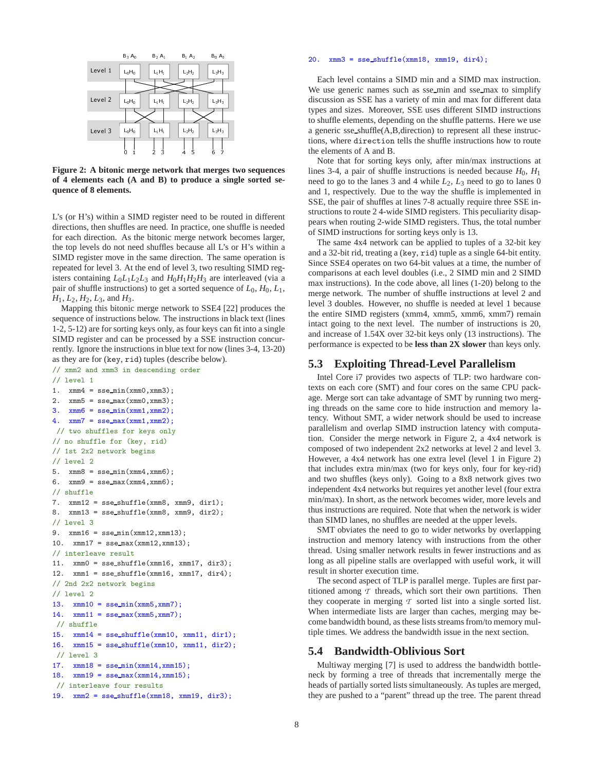

**Figure 2: A bitonic merge network that merges two sequences of 4 elements each (A and B) to produce a single sorted sequence of 8 elements.**

L's (or H's) within a SIMD register need to be routed in different directions, then shuffles are need. In practice, one shuffle is needed for each direction. As the bitonic merge network becomes larger, the top levels do not need shuffles because all L's or H's within a SIMD register move in the same direction. The same operation is repeated for level 3. At the end of level 3, two resulting SIMD registers containing  $L_0L_1L_2L_3$  and  $H_0H_1H_2H_3$  are interleaved (via a pair of shuffle instructions) to get a sorted sequence of *L*0, *H*0, *L*1, *H*1, *L*2, *H*2, *L*3, and *H*3.

Mapping this bitonic merge network to SSE4 [22] produces the sequence of instructions below. The instructions in black text (lines 1-2, 5-12) are for sorting keys only, as four keys can fit into a single SIMD register and can be processed by a SSE instruction concurrently. Ignore the instructions in blue text for now (lines 3-4, 13-20) as they are for (key, rid) tuples (describe below).

```
// xmm2 and xmm3 in descending order
// level 1
1. xmm4 = sse.min(xmm0, xmm3);2. xmm5 = sse_max(xmm0, xmm3);3. xmm6 = \text{ssemin}(xmm1, xmm2);4. xmm7 = sse_max(xmm1, xmm2);// two shuffles for keys only
// no shuffle for (key, rid)
// 1st 2x2 network begins
// level 2
5. xmm8 = sse min(xmm4,xmm6);
6. xmm9 = sse_max(xmm4, xmm6);// shuffle
7. xmm12 = sse\_shuffle(xmm8, xmm9, dir1);8. xmm13 = sse\_shuffle(xmm8, xmm9, dir2);1/1 level 3
9. xmm16 = \text{ssemin}(\text{xmm12}, \text{xmm13});10. xmm17 = sse_max(xmm12, xmm13);// interleave result
11. xmm0 = sse\_shuffle(xmm16, xmm17, dir3);12. xmm1 = sse\_shuffle(xmm16, xmm17, dir4);// 2nd 2x2 network begins
// level 2
13. xmm10 = \text{sse-min}(xmm5, xmm7);14. xmm11 = \text{sse_max}(xmm5, xmm7);// shuffle
15. xmm14 = sse-shuffle(xmm10, xmm11, dir1);16. xmm15 = sse\_shuffle(xmm10, xmm11, dir2);// level 3
17. xmm18 = sse.min(xmm14, xmm15);18. xmm19 = sse.max(xmm14, xmm15);// interleave four results
19. xmm2 = sse\_shuffle(xmm18, xmm19, dir3);
```
#### 20.  $xmm3 = sse\_shuffle(xmm18, xmm19, dir4);$

Each level contains a SIMD min and a SIMD max instruction. We use generic names such as sse\_min and sse\_max to simplify discussion as SSE has a variety of min and max for different data types and sizes. Moreover, SSE uses different SIMD instructions to shuffle elements, depending on the shuffle patterns. Here we use a generic sse shuffle(A,B,direction) to represent all these instructions, where direction tells the shuffle instructions how to route the elements of A and B.

Note that for sorting keys only, after min/max instructions at lines 3-4, a pair of shuffle instructions is needed because  $H_0$ ,  $H_1$ need to go to the lanes 3 and 4 while *L*2, *L*<sup>3</sup> need to go to lanes 0 and 1, respectively. Due to the way the shuffle is implemented in SSE, the pair of shuffles at lines 7-8 actually require three SSE instructions to route 2 4-wide SIMD registers. This peculiarity disappears when routing 2-wide SIMD registers. Thus, the total number of SIMD instructions for sorting keys only is 13.

The same 4x4 network can be applied to tuples of a 32-bit key and a 32-bit rid, treating a (key, rid) tuple as a single 64-bit entity. Since SSE4 operates on two 64-bit values at a time, the number of comparisons at each level doubles (i.e., 2 SIMD min and 2 SIMD max instructions). In the code above, all lines (1-20) belong to the merge network. The number of shuffle instructions at level 2 and level 3 doubles. However, no shuffle is needed at level 1 because the entire SIMD registers (xmm4, xmm5, xmm6, xmm7) remain intact going to the next level. The number of instructions is 20, and increase of 1.54X over 32-bit keys only (13 instructions). The performance is expected to be **less than 2X slower** than keys only.

## **5.3 Exploiting Thread-Level Parallelism**

Intel Core i7 provides two aspects of TLP: two hardware contexts on each core (SMT) and four cores on the same CPU package. Merge sort can take advantage of SMT by running two merging threads on the same core to hide instruction and memory latency. Without SMT, a wider network should be used to increase parallelism and overlap SIMD instruction latency with computation. Consider the merge network in Figure 2, a 4x4 network is composed of two independent 2x2 networks at level 2 and level 3. However, a 4x4 network has one extra level (level 1 in Figure 2) that includes extra min/max (two for keys only, four for key-rid) and two shuffles (keys only). Going to a 8x8 network gives two independent 4x4 networks but requires yet another level (four extra min/max). In short, as the network becomes wider, more levels and thus instructions are required. Note that when the network is wider than SIMD lanes, no shuffles are needed at the upper levels.

SMT obviates the need to go to wider networks by overlapping instruction and memory latency with instructions from the other thread. Using smaller network results in fewer instructions and as long as all pipeline stalls are overlapped with useful work, it will result in shorter execution time.

The second aspect of TLP is parallel merge. Tuples are first partitioned among *T* threads, which sort their own partitions. Then they cooperate in merging  $\tau$  sorted list into a single sorted list. When intermediate lists are larger than caches, merging may become bandwidth bound, as these lists streams from/to memory multiple times. We address the bandwidth issue in the next section.

#### **5.4 Bandwidth-Oblivious Sort**

Multiway merging [7] is used to address the bandwidth bottleneck by forming a tree of threads that incrementally merge the heads of partially sorted lists simultaneously. As tuples are merged, they are pushed to a "parent" thread up the tree. The parent thread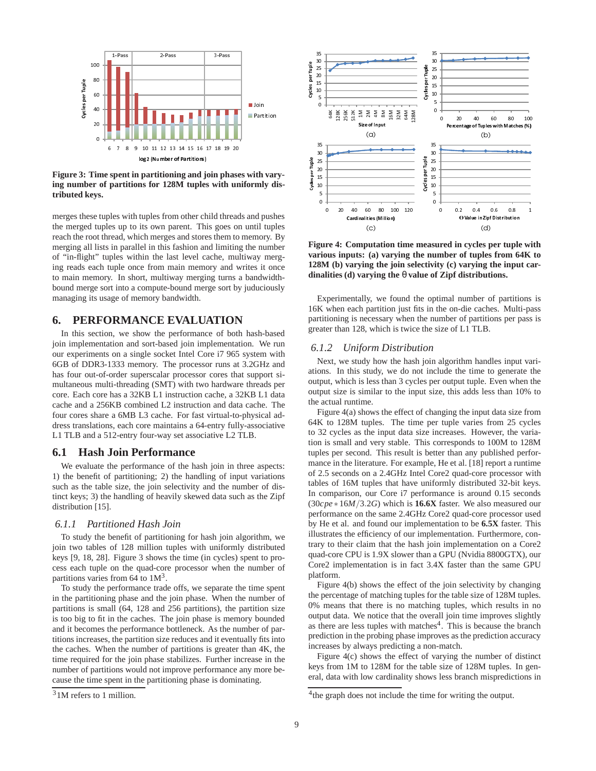

**Figure 3: Time spent in partitioning and join phases with varying number of partitions for 128M tuples with uniformly distributed keys.**

merges these tuples with tuples from other child threads and pushes the merged tuples up to its own parent. This goes on until tuples reach the root thread, which merges and stores them to memory. By merging all lists in parallel in this fashion and limiting the number of "in-flight" tuples within the last level cache, multiway merging reads each tuple once from main memory and writes it once to main memory. In short, multiway merging turns a bandwidthbound merge sort into a compute-bound merge sort by juduciously managing its usage of memory bandwidth.

# **6. PERFORMANCE EVALUATION**

In this section, we show the performance of both hash-based join implementation and sort-based join implementation. We run our experiments on a single socket Intel Core i7 965 system with 6GB of DDR3-1333 memory. The processor runs at 3.2GHz and has four out-of-order superscalar processor cores that support simultaneous multi-threading (SMT) with two hardware threads per core. Each core has a 32KB L1 instruction cache, a 32KB L1 data cache and a 256KB combined L2 instruction and data cache. The four cores share a 6MB L3 cache. For fast virtual-to-physical address translations, each core maintains a 64-entry fully-associative L1 TLB and a 512-entry four-way set associative L2 TLB.

#### **6.1 Hash Join Performance**

We evaluate the performance of the hash join in three aspects: 1) the benefit of partitioning; 2) the handling of input variations such as the table size, the join selectivity and the number of distinct keys; 3) the handling of heavily skewed data such as the Zipf distribution [15].

#### *6.1.1 Partitioned Hash Join*

To study the benefit of partitioning for hash join algorithm, we join two tables of 128 million tuples with uniformly distributed keys [9, 18, 28]. Figure 3 shows the time (in cycles) spent to process each tuple on the quad-core processor when the number of partitions varies from 64 to 1M<sup>3</sup>.

To study the performance trade offs, we separate the time spent in the partitioning phase and the join phase. When the number of partitions is small (64, 128 and 256 partitions), the partition size is too big to fit in the caches. The join phase is memory bounded and it becomes the performance bottleneck. As the number of partitions increases, the partition size reduces and it eventually fits into the caches. When the number of partitions is greater than 4K, the time required for the join phase stabilizes. Further increase in the number of partitions would not improve performance any more because the time spent in the partitioning phase is dominating.



**Figure 4: Computation time measured in cycles per tuple with various inputs: (a) varying the number of tuples from 64K to 128M (b) varying the join selectivity (c) varying the input cardinalities (d) varying the** θ **value of Zipf distributions.**

Experimentally, we found the optimal number of partitions is 16K when each partition just fits in the on-die caches. Multi-pass partitioning is necessary when the number of partitions per pass is greater than 128, which is twice the size of L1 TLB.

## *6.1.2 Uniform Distribution*

Next, we study how the hash join algorithm handles input variations. In this study, we do not include the time to generate the output, which is less than 3 cycles per output tuple. Even when the output size is similar to the input size, this adds less than 10% to the actual runtime.

Figure 4(a) shows the effect of changing the input data size from 64K to 128M tuples. The time per tuple varies from 25 cycles to 32 cycles as the input data size increases. However, the variation is small and very stable. This corresponds to 100M to 128M tuples per second. This result is better than any published performance in the literature. For example, He et al. [18] report a runtime of 2.5 seconds on a 2.4GHz Intel Core2 quad-core processor with tables of 16M tuples that have uniformly distributed 32-bit keys. In comparison, our Core i7 performance is around 0.15 seconds (30*cpe* ∗ 16*M*/3.2*G*) which is **16.6X** faster. We also measured our performance on the same 2.4GHz Core2 quad-core processor used by He et al. and found our implementation to be **6.5X** faster. This illustrates the efficiency of our implementation. Furthermore, contrary to their claim that the hash join implementation on a Core2 quad-core CPU is 1.9X slower than a GPU (Nvidia 8800GTX), our Core2 implementation is in fact 3.4X faster than the same GPU platform.

Figure 4(b) shows the effect of the join selectivity by changing the percentage of matching tuples for the table size of 128M tuples. 0% means that there is no matching tuples, which results in no output data. We notice that the overall join time improves slightly as there are less tuples with matches<sup>4</sup>. This is because the branch prediction in the probing phase improves as the prediction accuracy increases by always predicting a non-match.

Figure 4(c) shows the effect of varying the number of distinct keys from 1M to 128M for the table size of 128M tuples. In general, data with low cardinality shows less branch mispredictions in

<sup>3</sup>1M refers to 1 million.

<sup>&</sup>lt;sup>4</sup>the graph does not include the time for writing the output.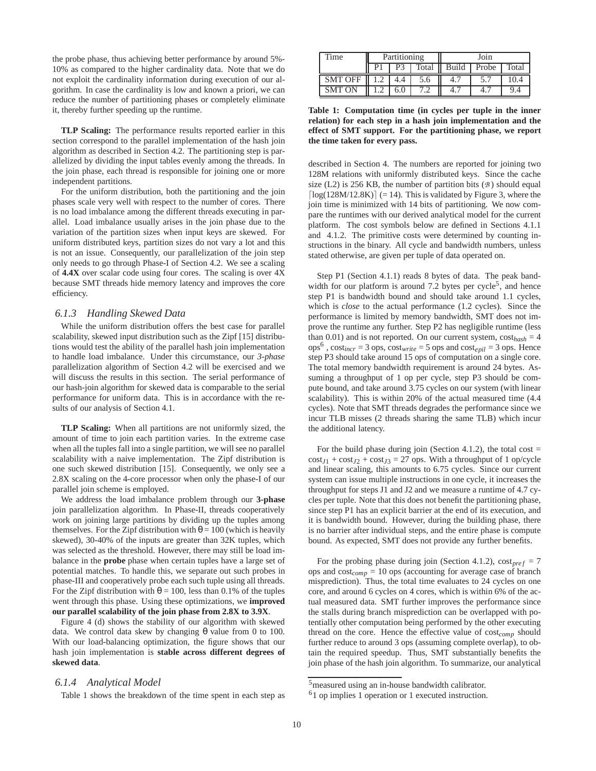the probe phase, thus achieving better performance by around 5%- 10% as compared to the higher cardinality data. Note that we do not exploit the cardinality information during execution of our algorithm. In case the cardinality is low and known a priori, we can reduce the number of partitioning phases or completely eliminate it, thereby further speeding up the runtime.

**TLP Scaling:** The performance results reported earlier in this section correspond to the parallel implementation of the hash join algorithm as described in Section 4.2. The partitioning step is parallelized by dividing the input tables evenly among the threads. In the join phase, each thread is responsible for joining one or more independent partitions.

For the uniform distribution, both the partitioning and the join phases scale very well with respect to the number of cores. There is no load imbalance among the different threads executing in parallel. Load imbalance usually arises in the join phase due to the variation of the partition sizes when input keys are skewed. For uniform distributed keys, partition sizes do not vary a lot and this is not an issue. Consequently, our parallelization of the join step only needs to go through Phase-I of Section 4.2. We see a scaling of **4.4X** over scalar code using four cores. The scaling is over 4X because SMT threads hide memory latency and improves the core efficiency.

#### *6.1.3 Handling Skewed Data*

While the uniform distribution offers the best case for parallel scalability, skewed input distribution such as the Zipf [15] distributions would test the ability of the parallel hash join implementation to handle load imbalance. Under this circumstance, our *3-phase* parallelization algorithm of Section 4.2 will be exercised and we will discuss the results in this section. The serial performance of our hash-join algorithm for skewed data is comparable to the serial performance for uniform data. This is in accordance with the results of our analysis of Section 4.1.

**TLP Scaling:** When all partitions are not uniformly sized, the amount of time to join each partition varies. In the extreme case when all the tuples fall into a single partition, we will see no parallel scalability with a naive implementation. The Zipf distribution is one such skewed distribution [15]. Consequently, we only see a 2.8X scaling on the 4-core processor when only the phase-I of our parallel join scheme is employed.

We address the load imbalance problem through our **3-phase** join parallelization algorithm. In Phase-II, threads cooperatively work on joining large partitions by dividing up the tuples among themselves. For the Zipf distribution with  $\theta = 100$  (which is heavily skewed), 30-40% of the inputs are greater than 32K tuples, which was selected as the threshold. However, there may still be load imbalance in the **probe** phase when certain tuples have a large set of potential matches. To handle this, we separate out such probes in phase-III and cooperatively probe each such tuple using all threads. For the Zipf distribution with  $\theta = 100$ , less than 0.1% of the tuples went through this phase. Using these optimizations, we **improved our parallel scalability of the join phase from 2.8X to 3.9X**.

Figure 4 (d) shows the stability of our algorithm with skewed data. We control data skew by changing θ value from 0 to 100. With our load-balancing optimization, the figure shows that our hash join implementation is **stable across different degrees of skewed data**.

#### *6.1.4 Analytical Model*

Table 1 shows the breakdown of the time spent in each step as

| Time           | Partitioning |     |       | Join  |       |       |  |
|----------------|--------------|-----|-------|-------|-------|-------|--|
|                |              |     | Total | Build | Probe | Total |  |
| <b>SMT OFF</b> |              |     | 5.6   |       |       |       |  |
| <b>SMT ON</b>  |              | 6.0 |       |       |       | 9.4   |  |

**Table 1: Computation time (in cycles per tuple in the inner relation) for each step in a hash join implementation and the effect of SMT support. For the partitioning phase, we report the time taken for every pass.**

described in Section 4. The numbers are reported for joining two 128M relations with uniformly distributed keys. Since the cache size (L2) is 256 KB, the number of partition bits  $(\mathcal{B})$  should equal  $[\log(128M/12.8K)] (= 14)$ . This is validated by Figure 3, where the join time is minimized with 14 bits of partitioning. We now compare the runtimes with our derived analytical model for the current platform. The cost symbols below are defined in Sections 4.1.1 and 4.1.2. The primitive costs were determined by counting instructions in the binary. All cycle and bandwidth numbers, unless stated otherwise, are given per tuple of data operated on.

Step P1 (Section 4.1.1) reads 8 bytes of data. The peak bandwidth for our platform is around 7.2 bytes per cycle<sup>5</sup>, and hence step P1 is bandwidth bound and should take around 1.1 cycles, which is *close* to the actual performance (1.2 cycles). Since the performance is limited by memory bandwidth, SMT does not improve the runtime any further. Step P2 has negligible runtime (less than 0.01) and is not reported. On our current system,  $\text{cost}_{hash} = 4$  $ops<sup>6</sup>$ ,  $cost<sub>incr</sub> = 3 ops$ ,  $cost<sub>write</sub> = 5 ops$  and  $cost<sub>epil</sub> = 3 ops$ . Hence step P3 should take around 15 ops of computation on a single core. The total memory bandwidth requirement is around 24 bytes. Assuming a throughput of 1 op per cycle, step P3 should be compute bound, and take around 3.75 cycles on our system (with linear scalability). This is within 20% of the actual measured time (4.4 cycles). Note that SMT threads degrades the performance since we incur TLB misses (2 threads sharing the same TLB) which incur the additional latency.

For the build phase during join (Section 4.1.2), the total cost  $=$  $cost_{J1} + cost_{J2} + cost_{J3} = 27$  ops. With a throughput of 1 op/cycle and linear scaling, this amounts to 6.75 cycles. Since our current system can issue multiple instructions in one cycle, it increases the throughput for steps J1 and J2 and we measure a runtime of 4.7 cycles per tuple. Note that this does not benefit the partitioning phase, since step P1 has an explicit barrier at the end of its execution, and it is bandwidth bound. However, during the building phase, there is no barrier after individual steps, and the entire phase is compute bound. As expected, SMT does not provide any further benefits.

For the probing phase during join (Section 4.1.2),  $\cos t_{pref} = 7$ ops and  $cost_{comp} = 10$  ops (accounting for average case of branch misprediction). Thus, the total time evaluates to 24 cycles on one core, and around 6 cycles on 4 cores, which is within 6% of the actual measured data. SMT further improves the performance since the stalls during branch misprediction can be overlapped with potentially other computation being performed by the other executing thread on the core. Hence the effective value of cost*comp* should further reduce to around 3 ops (assuming complete overlap), to obtain the required speedup. Thus, SMT substantially benefits the join phase of the hash join algorithm. To summarize, our analytical

<sup>5</sup>measured using an in-house bandwidth calibrator.

<sup>6</sup>1 op implies 1 operation or 1 executed instruction.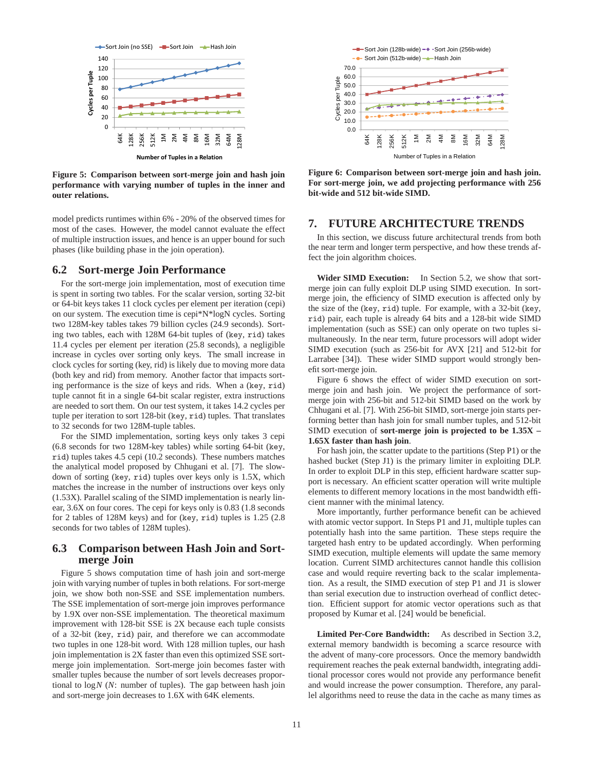

**Figure 5: Comparison between sort-merge join and hash join performance with varying number of tuples in the inner and outer relations.**

model predicts runtimes within 6% - 20% of the observed times for most of the cases. However, the model cannot evaluate the effect of multiple instruction issues, and hence is an upper bound for such phases (like building phase in the join operation).

#### **6.2 Sort-merge Join Performance**

For the sort-merge join implementation, most of execution time is spent in sorting two tables. For the scalar version, sorting 32-bit or 64-bit keys takes 11 clock cycles per element per iteration (cepi) on our system. The execution time is cepi\*N\*logN cycles. Sorting two 128M-key tables takes 79 billion cycles (24.9 seconds). Sorting two tables, each with 128M 64-bit tuples of (key, rid) takes 11.4 cycles per element per iteration (25.8 seconds), a negligible increase in cycles over sorting only keys. The small increase in clock cycles for sorting (key, rid) is likely due to moving more data (both key and rid) from memory. Another factor that impacts sorting performance is the size of keys and rids. When a (key, rid) tuple cannot fit in a single 64-bit scalar register, extra instructions are needed to sort them. On our test system, it takes 14.2 cycles per tuple per iteration to sort 128-bit (key, rid) tuples. That translates to 32 seconds for two 128M-tuple tables.

For the SIMD implementation, sorting keys only takes 3 cepi (6.8 seconds for two 128M-key tables) while sorting 64-bit (key, rid) tuples takes 4.5 cepi (10.2 seconds). These numbers matches the analytical model proposed by Chhugani et al. [7]. The slowdown of sorting (key, rid) tuples over keys only is 1.5X, which matches the increase in the number of instructions over keys only (1.53X). Parallel scaling of the SIMD implementation is nearly linear, 3.6X on four cores. The cepi for keys only is 0.83 (1.8 seconds for 2 tables of 128M keys) and for (key, rid) tuples is 1.25 (2.8 seconds for two tables of 128M tuples).

# **6.3 Comparison between Hash Join and Sortmerge Join**

Figure 5 shows computation time of hash join and sort-merge join with varying number of tuples in both relations. For sort-merge join, we show both non-SSE and SSE implementation numbers. The SSE implementation of sort-merge join improves performance by 1.9X over non-SSE implementation. The theoretical maximum improvement with 128-bit SSE is 2X because each tuple consists of a 32-bit (key, rid) pair, and therefore we can accommodate two tuples in one 128-bit word. With 128 million tuples, our hash join implementation is 2X faster than even this optimized SSE sortmerge join implementation. Sort-merge join becomes faster with smaller tuples because the number of sort levels decreases proportional to log*N* (*N*: number of tuples). The gap between hash join and sort-merge join decreases to 1.6X with 64K elements.



**Figure 6: Comparison between sort-merge join and hash join. For sort-merge join, we add projecting performance with 256 bit-wide and 512 bit-wide SIMD.**

# **7. FUTURE ARCHITECTURE TRENDS**

In this section, we discuss future architectural trends from both the near term and longer term perspective, and how these trends affect the join algorithm choices.

**Wider SIMD Execution:** In Section 5.2, we show that sortmerge join can fully exploit DLP using SIMD execution. In sortmerge join, the efficiency of SIMD execution is affected only by the size of the (key, rid) tuple. For example, with a 32-bit (key, rid) pair, each tuple is already 64 bits and a 128-bit wide SIMD implementation (such as SSE) can only operate on two tuples simultaneously. In the near term, future processors will adopt wider SIMD execution (such as 256-bit for AVX [21] and 512-bit for Larrabee [34]). These wider SIMD support would strongly benefit sort-merge join.

Figure 6 shows the effect of wider SIMD execution on sortmerge join and hash join. We project the performance of sortmerge join with 256-bit and 512-bit SIMD based on the work by Chhugani et al. [7]. With 256-bit SIMD, sort-merge join starts performing better than hash join for small number tuples, and 512-bit SIMD execution of **sort-merge join is projected to be 1.35X – 1.65X faster than hash join**.

For hash join, the scatter update to the partitions (Step P1) or the hashed bucket (Step J1) is the primary limiter in exploiting DLP. In order to exploit DLP in this step, efficient hardware scatter support is necessary. An efficient scatter operation will write multiple elements to different memory locations in the most bandwidth efficient manner with the minimal latency.

More importantly, further performance benefit can be achieved with atomic vector support. In Steps P1 and J1, multiple tuples can potentially hash into the same partition. These steps require the targeted hash entry to be updated accordingly. When performing SIMD execution, multiple elements will update the same memory location. Current SIMD architectures cannot handle this collision case and would require reverting back to the scalar implementation. As a result, the SIMD execution of step P1 and J1 is slower than serial execution due to instruction overhead of conflict detection. Efficient support for atomic vector operations such as that proposed by Kumar et al. [24] would be beneficial.

**Limited Per-Core Bandwidth:** As described in Section 3.2, external memory bandwidth is becoming a scarce resource with the advent of many-core processors. Once the memory bandwidth requirement reaches the peak external bandwidth, integrating additional processor cores would not provide any performance benefit and would increase the power consumption. Therefore, any parallel algorithms need to reuse the data in the cache as many times as